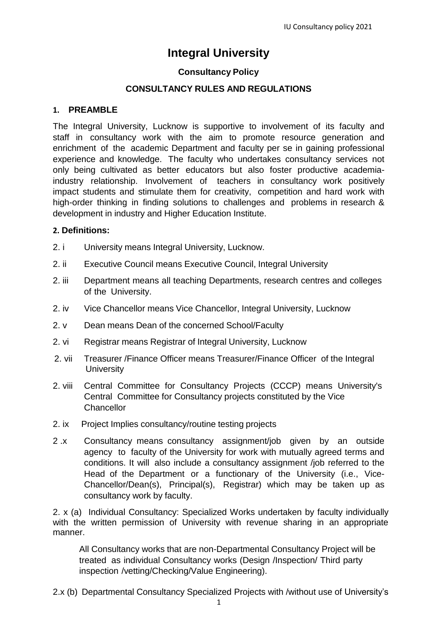# **Integral University**

# **Consultancy Policy**

# **CONSULTANCY RULES AND REGULATIONS**

#### **1. PREAMBLE**

The Integral University, Lucknow is supportive to involvement of its faculty and staff in consultancy work with the aim to promote resource generation and enrichment of the academic Department and faculty per se in gaining professional experience and knowledge. The faculty who undertakes consultancy services not only being cultivated as better educators but also foster productive academiaindustry relationship. Involvement of teachers in consultancy work positively impact students and stimulate them for creativity, competition and hard work with high-order thinking in finding solutions to challenges and problems in research & development in industry and Higher Education Institute.

## **2. Definitions:**

- 2. i University means Integral University, Lucknow.
- 2. ii Executive Council means Executive Council, Integral University
- 2. iii Department means all teaching Departments, research centres and colleges of the University.
- 2. iv Vice Chancellor means Vice Chancellor, Integral University, Lucknow
- 2. v Dean means Dean of the concerned School/Faculty
- 2. vi Registrar means Registrar of Integral University, Lucknow
- 2. vii Treasurer /Finance Officer means Treasurer/Finance Officer of the Integral **University**
- 2. viii Central Committee for Consultancy Projects (CCCP) means University's Central Committee for Consultancy projects constituted by the Vice **Chancellor**
- 2. ix Project Implies consultancy/routine testing projects
- 2 .x Consultancy means consultancy assignment/job given by an outside agency to faculty of the University for work with mutually agreed terms and conditions. It will also include a consultancy assignment /job referred to the Head of the Department or a functionary of the University (i.e., Vice-Chancellor/Dean(s), Principal(s), Registrar) which may be taken up as consultancy work by faculty.

2. x (a) Individual Consultancy: Specialized Works undertaken by faculty individually with the written permission of University with revenue sharing in an appropriate manner.

All Consultancy works that are non-Departmental Consultancy Project will be treated as individual Consultancy works (Design /Inspection/ Third party inspection /vetting/Checking/Value Engineering).

2.x (b) Departmental Consultancy Specialized Projects with /without use of University's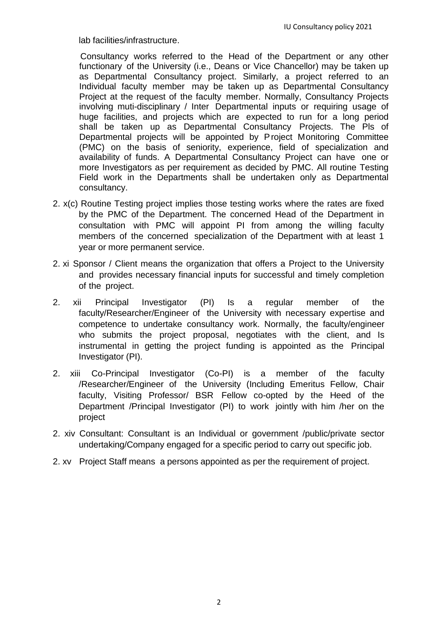lab facilities/infrastructure.

Consultancy works referred to the Head of the Department or any other functionary of the University (i.e., Deans or Vice Chancellor) may be taken up as Departmental Consultancy project. Similarly, a project referred to an Individual faculty member may be taken up as Departmental Consultancy Project at the request of the faculty member. Normally, Consultancy Projects involving muti-disciplinary / Inter Departmental inputs or requiring usage of huge facilities, and projects which are expected to run for a long period shall be taken up as Departmental Consultancy Projects. The Pls of Departmental projects will be appointed by Project Monitoring Committee (PMC) on the basis of seniority, experience, field of specialization and availability of funds. A Departmental Consultancy Project can have one or more Investigators as per requirement as decided by PMC. All routine Testing Field work in the Departments shall be undertaken only as Departmental consultancy.

- 2. x(c) Routine Testing project implies those testing works where the rates are fixed by the PMC of the Department. The concerned Head of the Department in consultation with PMC will appoint PI from among the willing faculty members of the concerned specialization of the Department with at least 1 year or more permanent service.
- 2. xi Sponsor / Client means the organization that offers a Project to the University and provides necessary financial inputs for successful and timely completion of the project.
- 2. xii Principal Investigator (PI) Is a regular member of the faculty/Researcher/Engineer of the University with necessary expertise and competence to undertake consultancy work. Normally, the faculty/engineer who submits the project proposal, negotiates with the client, and Is instrumental in getting the project funding is appointed as the Principal Investigator (PI).
- 2. xiii Co-Principal Investigator (Co-PI) is a member of the faculty /Researcher/Engineer of the University (Including Emeritus Fellow, Chair faculty, Visiting Professor/ BSR Fellow co-opted by the Heed of the Department /Principal Investigator (PI) to work jointly with him /her on the project
- 2. xiv Consultant: Consultant is an Individual or government /public/private sector undertaking/Company engaged for a specific period to carry out specific job.
- 2. xv Project Staff means a persons appointed as per the requirement of project.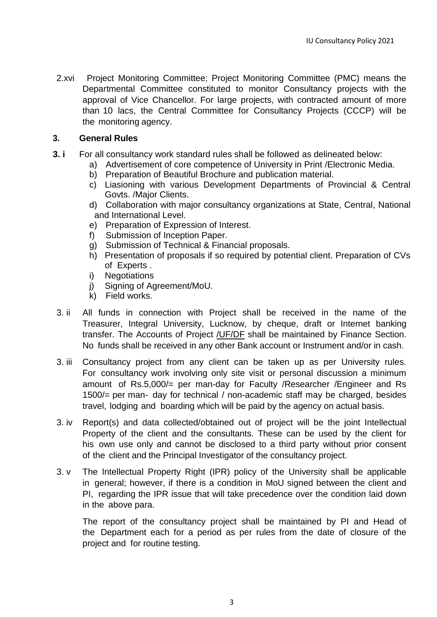2.xvi Project Monitoring Committee; Project Monitoring Committee (PMC) means the Departmental Committee constituted to monitor Consultancy projects with the approval of Vice Chancellor. For large projects, with contracted amount of more than 10 lacs, the Central Committee for Consultancy Projects (CCCP) will be the monitoring agency.

#### **3. General Rules**

- **3. i** For all consultancy work standard rules shall be followed as delineated below:
	- a) Advertisement of core competence of University in Print /Electronic Media.
	- b) Preparation of Beautiful Brochure and publication material.
	- c) Liasioning with various Development Departments of Provincial & Central Govts. /Major Clients.
	- d) Collaboration with major consultancy organizations at State, Central, National and International Level.
	- e) Preparation of Expression of Interest.
	- f) Submission of Inception Paper.
	- g) Submission of Technical & Financial proposals.
	- h) Presentation of proposals if so required by potential client. Preparation of CVs of Experts .
	- i) Negotiations
	- j) Signing of Agreement/MoU.
	- k) Field works.
- 3. ii All funds in connection with Project shall be received in the name of the Treasurer, Integral University, Lucknow, by cheque, draft or Internet banking transfer. The Accounts of Project /UF/DF shall be maintained by Finance Section. No funds shall be received in any other Bank account or Instrument and/or in cash.
- 3. iii Consultancy project from any client can be taken up as per University rules. For consultancy work involving only site visit or personal discussion a minimum amount of Rs.5,000/= per man-day for Faculty /Researcher /Engineer and Rs 1500/= per man- day for technical / non-academic staff may be charged, besides travel, lodging and boarding which will be paid by the agency on actual basis.
- 3. iv Report(s) and data collected/obtained out of project will be the joint Intellectual Property of the client and the consultants. These can be used by the client for his own use only and cannot be disclosed to a third party without prior consent of the client and the Principal Investigator of the consultancy project.
- 3. v The Intellectual Property Right (IPR) policy of the University shall be applicable in general; however, if there is a condition in MoU signed between the client and PI, regarding the IPR issue that will take precedence over the condition laid down in the above para.

The report of the consultancy project shall be maintained by PI and Head of the Department each for a period as per rules from the date of closure of the project and for routine testing.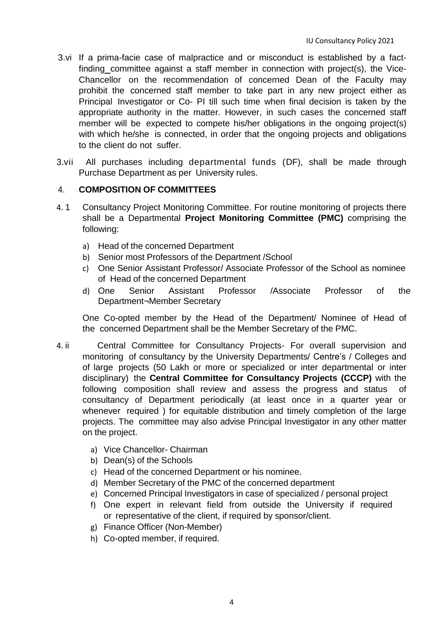- 3.vi If a prima-facie case of malpractice and or misconduct is established by a factfinding committee against a staff member in connection with project(s), the Vice-Chancellor on the recommendation of concerned Dean of the Faculty may prohibit the concerned staff member to take part in any new project either as Principal Investigator or Co- PI till such time when final decision is taken by the appropriate authority in the matter. However, in such cases the concerned staff member will be expected to compete his/her obligations in the ongoing project(s) with which he/she is connected, in order that the ongoing projects and obligations to the client do not suffer.
- 3.vii All purchases including departmental funds (DF), shall be made through Purchase Department as per University rules.

## 4. **COMPOSITION OF COMMITTEES**

- 4. 1 Consultancy Project Monitoring Committee. For routine monitoring of projects there shall be a Departmental **Project Monitoring Committee (PMC)** comprising the following:
	- a) Head of the concerned Department
	- b) Senior most Professors of the Department /School
	- c) One Senior Assistant Professor/ Associate Professor of the School as nominee of Head of the concerned Department
	- d) One Senior Assistant Professor /Associate Professor of the Department¬Member Secretary

One Co-opted member by the Head of the Department/ Nominee of Head of the concerned Department shall be the Member Secretary of the PMC.

- 4. ii Central Committee for Consultancy Projects- For overall supervision and monitoring of consultancy by the University Departments/ Centre's / Colleges and of large projects (50 Lakh or more or specialized or inter departmental or inter disciplinary) the **Central Committee for Consultancy Projects (CCCP)** with the following composition shall review and assess the progress and status of consultancy of Department periodically (at least once in a quarter year or whenever required ) for equitable distribution and timely completion of the large projects. The committee may also advise Principal Investigator in any other matter on the project.
	- a) Vice Chancellor- Chairman
	- b) Dean(s) of the Schools
	- c) Head of the concerned Department or his nominee.
	- d) Member Secretary of the PMC of the concerned department
	- e) Concerned Principal Investigators in case of specialized / personal project
	- f) One expert in relevant field from outside the University if required or representative of the client, if required by sponsor/client.
	- g) Finance Officer (Non-Member)
	- h) Co-opted member, if required.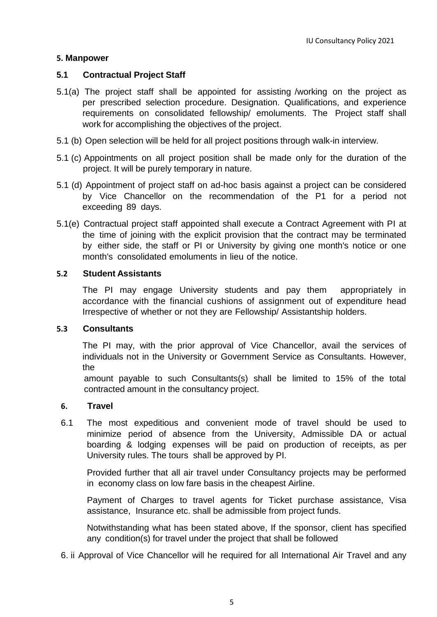# **5. Manpower**

## **5.1 Contractual Project Staff**

- 5.1(a) The project staff shall be appointed for assisting /working on the project as per prescribed selection procedure. Designation. Qualifications, and experience requirements on consolidated fellowship/ emoluments. The Project staff shall work for accomplishing the objectives of the project.
- 5.1 (b) Open selection will be held for all project positions through walk-in interview.
- 5.1 (c) Appointments on all project position shall be made only for the duration of the project. It will be purely temporary in nature.
- 5.1 (d) Appointment of project staff on ad-hoc basis against a project can be considered by Vice Chancellor on the recommendation of the P1 for a period not exceeding 89 days.
- 5.1(e) Contractual project staff appointed shall execute a Contract Agreement with PI at the time of joining with the explicit provision that the contract may be terminated by either side, the staff or PI or University by giving one month's notice or one month's consolidated emoluments in lieu of the notice.

#### **5.2 Student Assistants**

The PI may engage University students and pay them appropriately in accordance with the financial cushions of assignment out of expenditure head Irrespective of whether or not they are Fellowship/ Assistantship holders.

#### **5.3 Consultants**

The PI may, with the prior approval of Vice Chancellor, avail the services of individuals not in the University or Government Service as Consultants. However, the

amount payable to such Consultants(s) shall be limited to 15% of the total contracted amount in the consultancy project.

#### **6. Travel**

6.1 The most expeditious and convenient mode of travel should be used to minimize period of absence from the University, Admissible DA or actual boarding & lodging expenses will be paid on production of receipts, as per University rules. The tours shall be approved by PI.

Provided further that all air travel under Consultancy projects may be performed in economy class on low fare basis in the cheapest Airline.

Payment of Charges to travel agents for Ticket purchase assistance, Visa assistance, Insurance etc. shall be admissible from project funds.

Notwithstanding what has been stated above, If the sponsor, client has specified any condition(s) for travel under the project that shall be followed

6. ii Approval of Vice Chancellor will he required for all International Air Travel and any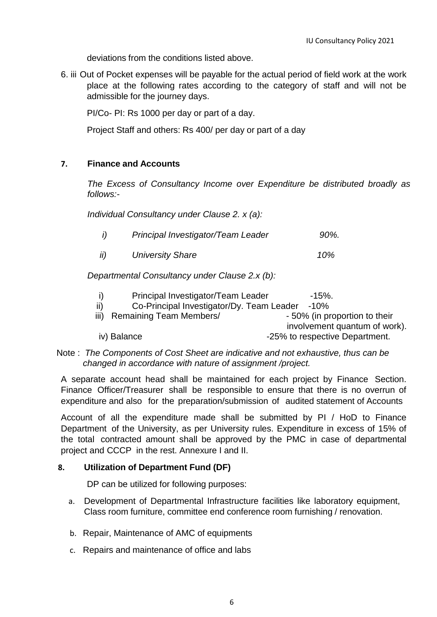deviations from the conditions listed above.

6. iii Out of Pocket expenses will be payable for the actual period of field work at the work place at the following rates according to the category of staff and will not be admissible for the journey days.

PI/Co- PI: Rs 1000 per day or part of a day.

Project Staff and others: Rs 400/ per day or part of a day

# **7. Finance and Accounts**

*The Excess of Consultancy Income over Expenditure be distributed broadly as follows:-*

*Individual Consultancy under Clause 2. x (a):* 

| Principal Investigator/Team Leader | 90%. |
|------------------------------------|------|
|                                    |      |

 *ii) University Share 10%*

*Departmental Consultancy under Clause 2.x (b):* 

|      | Principal Investigator/Team Leader        | $-15\%$ .                      |
|------|-------------------------------------------|--------------------------------|
| ii)  | Co-Principal Investigator/Dy. Team Leader | -10%                           |
| iii) | Remaining Team Members/                   | - 50% (in proportion to their  |
|      |                                           | involvement quantum of work).  |
|      | iv) Balance                               | -25% to respective Department. |

Note : *The Components of Cost Sheet are indicative and not exhaustive, thus can be changed in accordance with nature of assignment /project.*

A separate account head shall be maintained for each project by Finance Section. Finance Officer/Treasurer shall be responsible to ensure that there is no overrun of expenditure and also for the preparation/submission of audited statement of Accounts

Account of all the expenditure made shall be submitted by PI / HoD to Finance Department of the University, as per University rules. Expenditure in excess of 15% of the total contracted amount shall be approved by the PMC in case of departmental project and CCCP in the rest. Annexure I and II.

# **8. Utilization of Department Fund (DF)**

DP can be utilized for following purposes:

- a. Development of Departmental Infrastructure facilities like laboratory equipment, Class room furniture, committee end conference room furnishing / renovation.
- b. Repair, Maintenance of AMC of equipments
- c. Repairs and maintenance of office and labs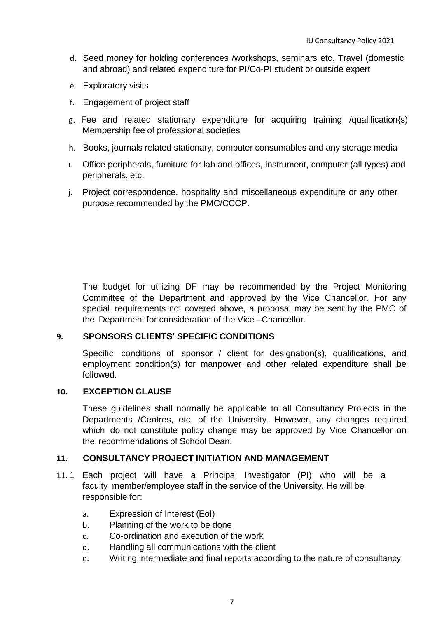- d. Seed money for holding conferences /workshops, seminars etc. Travel (domestic and abroad) and related expenditure for PI/Co-PI student or outside expert
- e. Exploratory visits
- f. Engagement of project staff
- g. Fee and related stationary expenditure for acquiring training /qualification{s) Membership fee of professional societies
- h. Books, journals related stationary, computer consumables and any storage media
- i. Office peripherals, furniture for lab and offices, instrument, computer (all types) and peripherals, etc.
- j. Project correspondence, hospitality and miscellaneous expenditure or any other purpose recommended by the PMC/CCCP.

The budget for utilizing DF may be recommended by the Project Monitoring Committee of the Department and approved by the Vice Chancellor. For any special requirements not covered above, a proposal may be sent by the PMC of the Department for consideration of the Vice –Chancellor.

#### **9. SPONSORS CLIENTS' SPECIFIC CONDITIONS**

Specific conditions of sponsor / client for designation(s), qualifications, and employment condition(s) for manpower and other related expenditure shall be followed.

## **10. EXCEPTION CLAUSE**

These guidelines shall normally be applicable to all Consultancy Projects in the Departments /Centres, etc. of the University. However, any changes required which do not constitute policy change may be approved by Vice Chancellor on the recommendations of School Dean.

#### **11. CONSULTANCY PROJECT INITIATION AND MANAGEMENT**

- 11. 1 Each project will have a Principal Investigator (PI) who will be a faculty member/employee staff in the service of the University. He will be responsible for:
	- a. Expression of Interest (EoI)
	- b. Planning of the work to be done
	- c. Co-ordination and execution of the work
	- d. Handling all communications with the client
	- e. Writing intermediate and final reports according to the nature of consultancy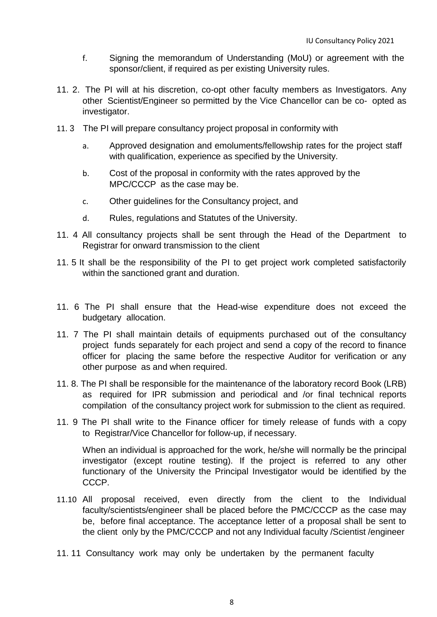- f. Signing the memorandum of Understanding (MoU) or agreement with the sponsor/client, if required as per existing University rules.
- 11. 2. The PI will at his discretion, co-opt other faculty members as Investigators. Any other Scientist/Engineer so permitted by the Vice Chancellor can be co- opted as investigator.
- 11. 3 The PI will prepare consultancy project proposal in conformity with
	- a. Approved designation and emoluments/fellowship rates for the project staff with qualification, experience as specified by the University.
	- b. Cost of the proposal in conformity with the rates approved by the MPC/CCCP as the case may be.
	- c. Other guidelines for the Consultancy project, and
	- d. Rules, regulations and Statutes of the University.
- 11. 4 All consultancy projects shall be sent through the Head of the Department to Registrar for onward transmission to the client
- 11. 5 It shall be the responsibility of the PI to get project work completed satisfactorily within the sanctioned grant and duration.
- 11. 6 The PI shall ensure that the Head-wise expenditure does not exceed the budgetary allocation.
- 11. 7 The PI shall maintain details of equipments purchased out of the consultancy project funds separately for each project and send a copy of the record to finance officer for placing the same before the respective Auditor for verification or any other purpose as and when required.
- 11. 8. The PI shall be responsible for the maintenance of the laboratory record Book (LRB) as required for IPR submission and periodical and /or final technical reports compilation of the consultancy project work for submission to the client as required.
- 11. 9 The PI shall write to the Finance officer for timely release of funds with a copy to Registrar/Vice Chancellor for follow-up, if necessary.

When an individual is approached for the work, he/she will normally be the principal investigator (except routine testing). If the project is referred to any other functionary of the University the Principal Investigator would be identified by the CCCP.

- 11.10 All proposal received, even directly from the client to the Individual faculty/scientists/engineer shall be placed before the PMC/CCCP as the case may be, before final acceptance. The acceptance letter of a proposal shall be sent to the client only by the PMC/CCCP and not any Individual faculty /Scientist /engineer
- 11. 11 Consultancy work may only be undertaken by the permanent faculty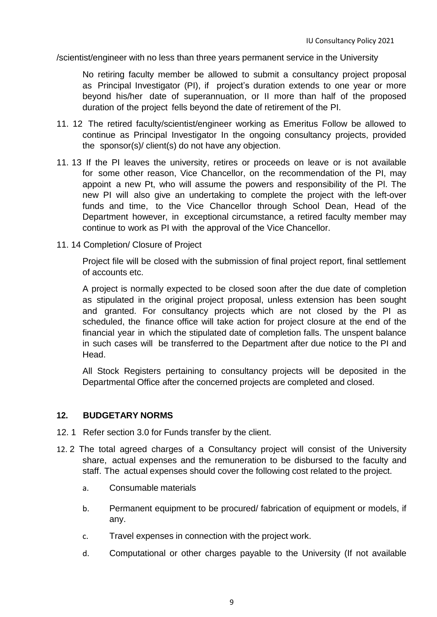/scientist/engineer with no less than three years permanent service in the University

No retiring faculty member be allowed to submit a consultancy project proposal as Principal Investigator (PI), if project's duration extends to one year or more beyond his/her date of superannuation, or II more than half of the proposed duration of the project fells beyond the date of retirement of the PI.

- 11. 12 The retired faculty/scientist/engineer working as Emeritus Follow be allowed to continue as Principal Investigator In the ongoing consultancy projects, provided the sponsor(s)/ client(s) do not have any objection.
- 11. 13 If the PI leaves the university, retires or proceeds on leave or is not available for some other reason, Vice Chancellor, on the recommendation of the PI, may appoint a new Pt, who will assume the powers and responsibility of the Pl. The new PI will also give an undertaking to complete the project with the left-over funds and time, to the Vice Chancellor through School Dean, Head of the Department however, in exceptional circumstance, a retired faculty member may continue to work as PI with the approval of the Vice Chancellor.
- 11. 14 Completion/ Closure of Project

Project file will be closed with the submission of final project report, final settlement of accounts etc.

A project is normally expected to be closed soon after the due date of completion as stipulated in the original project proposal, unless extension has been sought and granted. For consultancy projects which are not closed by the PI as scheduled, the finance office will take action for project closure at the end of the financial year in which the stipulated date of completion falls. The unspent balance in such cases will be transferred to the Department after due notice to the PI and Head.

All Stock Registers pertaining to consultancy projects will be deposited in the Departmental Office after the concerned projects are completed and closed.

#### **12. BUDGETARY NORMS**

- 12. 1 Refer section 3.0 for Funds transfer by the client.
- 12. 2 The total agreed charges of a Consultancy project will consist of the University share, actual expenses and the remuneration to be disbursed to the faculty and staff. The actual expenses should cover the following cost related to the project.
	- a. Consumable materials
	- b. Permanent equipment to be procured/ fabrication of equipment or models, if any.
	- c. Travel expenses in connection with the project work.
	- d. Computational or other charges payable to the University (If not available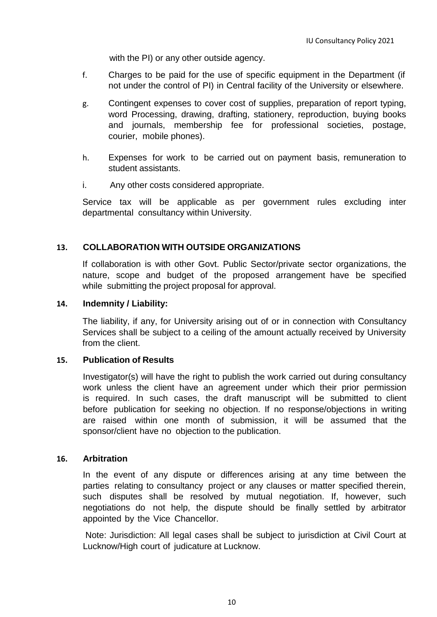with the PI) or any other outside agency.

- f. Charges to be paid for the use of specific equipment in the Department (if not under the control of PI) in Central facility of the University or elsewhere.
- g. Contingent expenses to cover cost of supplies, preparation of report typing, word Processing, drawing, drafting, stationery, reproduction, buying books and journals, membership fee for professional societies, postage, courier, mobile phones).
- h. Expenses for work to be carried out on payment basis, remuneration to student assistants.
- i. Any other costs considered appropriate.

Service tax will be applicable as per government rules excluding inter departmental consultancy within University.

# **13. COLLABORATION WITH OUTSIDE ORGANIZATIONS**

If collaboration is with other Govt. Public Sector/private sector organizations, the nature, scope and budget of the proposed arrangement have be specified while submitting the project proposal for approval.

#### **14. Indemnity / Liability:**

The liability, if any, for University arising out of or in connection with Consultancy Services shall be subject to a ceiling of the amount actually received by University from the client.

#### **15. Publication of Results**

Investigator(s) will have the right to publish the work carried out during consultancy work unless the client have an agreement under which their prior permission is required. In such cases, the draft manuscript will be submitted to client before publication for seeking no objection. If no response/objections in writing are raised within one month of submission, it will be assumed that the sponsor/client have no objection to the publication.

#### **16. Arbitration**

In the event of any dispute or differences arising at any time between the parties relating to consultancy project or any clauses or matter specified therein, such disputes shall be resolved by mutual negotiation. If, however, such negotiations do not help, the dispute should be finally settled by arbitrator appointed by the Vice Chancellor.

Note: Jurisdiction: All legal cases shall be subject to jurisdiction at Civil Court at Lucknow/High court of judicature at Lucknow.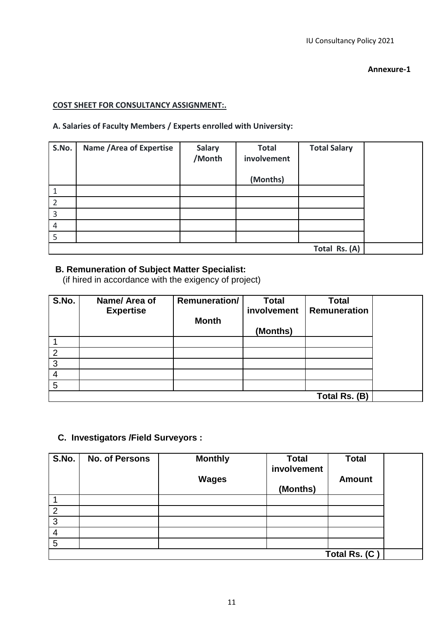#### **Annexure-1**

#### **COST SHEET FOR CONSULTANCY ASSIGNMENT:.**

# **A. Salaries of Faculty Members / Experts enrolled with University:**

| S.No.          | <b>Name / Area of Expertise</b> | <b>Salary</b><br>/Month | <b>Total</b><br>involvement | <b>Total Salary</b> |  |
|----------------|---------------------------------|-------------------------|-----------------------------|---------------------|--|
|                |                                 |                         | (Months)                    |                     |  |
|                |                                 |                         |                             |                     |  |
| $\overline{2}$ |                                 |                         |                             |                     |  |
| $\overline{3}$ |                                 |                         |                             |                     |  |
| $\overline{4}$ |                                 |                         |                             |                     |  |
| 5              |                                 |                         |                             |                     |  |
|                | Total Rs. (A)                   |                         |                             |                     |  |

# **B. Remuneration of Subject Matter Specialist:**

(if hired in accordance with the exigency of project)

| S.No. | Name/ Area of    | <b>Remuneration/</b> | <b>Total</b> | <b>Total</b>        |  |
|-------|------------------|----------------------|--------------|---------------------|--|
|       | <b>Expertise</b> |                      | involvement  | <b>Remuneration</b> |  |
|       |                  | <b>Month</b>         |              |                     |  |
|       |                  |                      | (Months)     |                     |  |
|       |                  |                      |              |                     |  |
| 2     |                  |                      |              |                     |  |
| 3     |                  |                      |              |                     |  |
|       |                  |                      |              |                     |  |
| 5     |                  |                      |              |                     |  |
|       |                  |                      |              | Total Rs. (B)       |  |

# **C. Investigators /Field Surveyors :**

| S.No. | <b>No. of Persons</b> | <b>Monthly</b> | <b>Total</b><br>involvement | <b>Total</b>  |  |
|-------|-----------------------|----------------|-----------------------------|---------------|--|
|       |                       | <b>Wages</b>   |                             | <b>Amount</b> |  |
|       |                       |                | (Months)                    |               |  |
|       |                       |                |                             |               |  |
|       |                       |                |                             |               |  |
| 3     |                       |                |                             |               |  |
| 4     |                       |                |                             |               |  |
| 5     |                       |                |                             |               |  |
|       |                       |                |                             | Total Rs. (C) |  |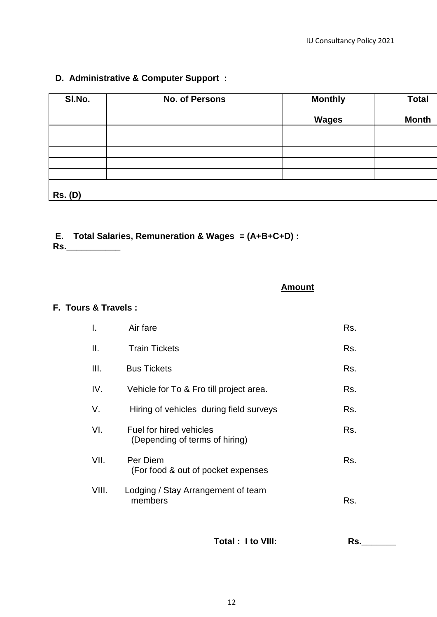# **D. Administrative & Computer Support :**

| SI.No.         | <b>No. of Persons</b> | <b>Monthly</b> | <b>Total</b> |
|----------------|-----------------------|----------------|--------------|
|                |                       | <b>Wages</b>   | <b>Month</b> |
|                |                       |                |              |
|                |                       |                |              |
|                |                       |                |              |
|                |                       |                |              |
|                |                       |                |              |
| <b>Rs. (D)</b> |                       |                |              |

# **E. Total Salaries, Remuneration & Wages = (A+B+C+D) :**

**Rs.\_\_\_\_\_\_\_\_\_\_\_**

**Amount**

# **F. Tours & Travels :**

| I.    | Air fare                                                  | Rs. |
|-------|-----------------------------------------------------------|-----|
| Ш.    | <b>Train Tickets</b>                                      | Rs. |
| III.  | <b>Bus Tickets</b>                                        | Rs. |
| IV.   | Vehicle for To & Fro till project area.                   | Rs. |
| V.    | Hiring of vehicles during field surveys                   | Rs. |
| VI.   | Fuel for hired vehicles<br>(Depending of terms of hiring) | Rs. |
| VII.  | Per Diem<br>(For food & out of pocket expenses            | Rs. |
| VIII. | Lodging / Stay Arrangement of team<br>members             | Rs. |

Total : I to VIII: Rs.\_\_\_\_\_\_\_\_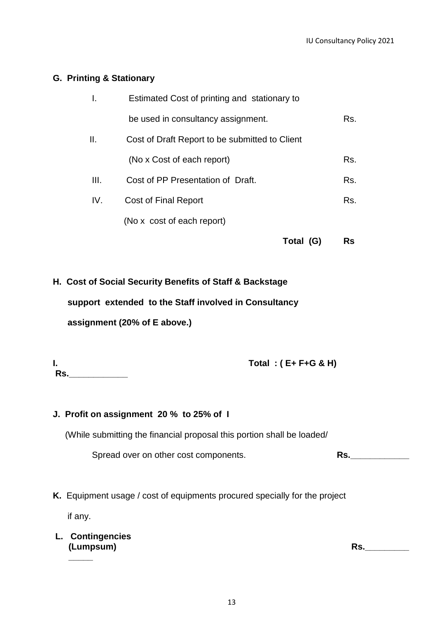#### **G. Printing & Stationary**

|      |                                                | Total (G) | Rs  |
|------|------------------------------------------------|-----------|-----|
|      | (No x cost of each report)                     |           |     |
| IV.  | Cost of Final Report                           |           | Rs. |
| III. | Cost of PP Presentation of Draft.              |           | Rs. |
|      | (No x Cost of each report)                     |           | Rs. |
| Ш.   | Cost of Draft Report to be submitted to Client |           |     |
|      | be used in consultancy assignment.             |           | Rs. |
|      | Estimated Cost of printing and stationary to   |           |     |

**H. Cost of Social Security Benefits of Staff & Backstage support extended to the Staff involved in Consultancy**

 **assignment (20% of E above.)**

|     | Total: $(E + F + G & H)$ |
|-----|--------------------------|
| Rs. |                          |

#### **J. Profit on assignment 20 % to 25% of I**

(While submitting the financial proposal this portion shall be loaded/

Spread over on other cost components. **Rs.** 

**K.** Equipment usage / cost of equipments procured specially for the project

if any.

**\_\_\_\_\_**

**L. Contingencies (Lumpsum) Rs.\_\_\_\_\_\_\_\_\_**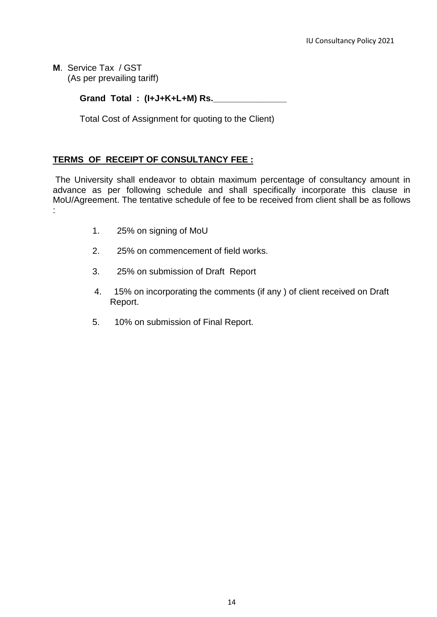**M**. Service Tax / GST (As per prevailing tariff)

**Grand Total : (I+J+K+L+M) Rs.\_\_\_\_\_\_\_\_\_\_\_\_\_\_\_** 

Total Cost of Assignment for quoting to the Client)

# **TERMS OF RECEIPT OF CONSULTANCY FEE :**

The University shall endeavor to obtain maximum percentage of consultancy amount in advance as per following schedule and shall specifically incorporate this clause in MoU/Agreement. The tentative schedule of fee to be received from client shall be as follows :

- 1. 25% on signing of MoU
- 2. 25% on commencement of field works.
- 3. 25% on submission of Draft Report
- 4. 15% on incorporating the comments (if any ) of client received on Draft Report.
- 5. 10% on submission of Final Report.